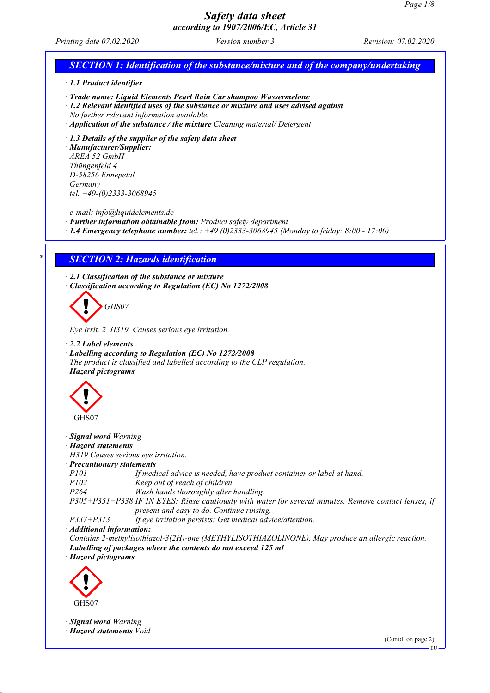*Printing date 07.02.2020 Version number 3 Revision: 07.02.2020*

# *SECTION 1: Identification of the substance/mixture and of the company/undertaking · 1.1 Product identifier · Trade name: Liquid Elements Pearl Rain Car shampoo Wassermelone · 1.2 Relevant identified uses of the substance or mixture and uses advised against No further relevant information available. · Application of the substance / the mixture Cleaning material/ Detergent · 1.3 Details of the supplier of the safety data sheet · Manufacturer/Supplier: AREA 52 GmbH Thüngenfeld 4 D-58256 Ennepetal Germany tel. +49-(0)2333-3068945 e-mail: info@liquidelements.de · Further information obtainable from: Product safety department · 1.4 Emergency telephone number: tel.: +49 (0)2333-3068945 (Monday to friday: 8:00 - 17:00) \* SECTION 2: Hazards identification · 2.1 Classification of the substance or mixture · Classification according to Regulation (EC) No 1272/2008 GHS07 Eye Irrit. 2 H319 Causes serious eye irritation. · 2.2 Label elements · Labelling according to Regulation (EC) No 1272/2008 The product is classified and labelled according to the CLP regulation. · Hazard pictograms* GHS07 *· Signal word Warning · Hazard statements H319 Causes serious eye irritation. · Precautionary statements P101 If medical advice is needed, have product container or label at hand. P102 Keep out of reach of children. P264 Wash hands thoroughly after handling. P305+P351+P338 IF IN EYES: Rinse cautiously with water for several minutes. Remove contact lenses, if present and easy to do. Continue rinsing. P337+P313 If eye irritation persists: Get medical advice/attention. · Additional information: Contains 2-methylisothiazol-3(2H)-one (METHYLISOTHIAZOLINONE). May produce an allergic reaction. · Labelling of packages where the contents do not exceed 125 ml · Hazard pictograms* GHS07 *· Signal word Warning · Hazard statements Void* (Contd. on page 2) EU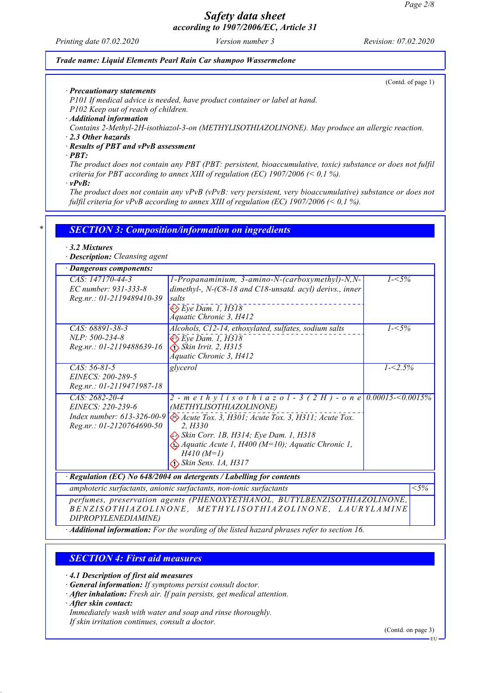*Printing date 07.02.2020 Version number 3 Revision: 07.02.2020*

#### *Trade name: Liquid Elements Pearl Rain Car shampoo Wassermelone*

(Contd. of page 1)

*· Precautionary statements*

*P101 If medical advice is needed, have product container or label at hand.*

*P102 Keep out of reach of children.*

*· Additional information*

*Contains 2-Methyl-2H-isothiazol-3-on (METHYLISOTHIAZOLINONE). May produce an allergic reaction.*

*· 2.3 Other hazards*

*· Results of PBT and vPvB assessment*

*· PBT:*

*The product does not contain any PBT (PBT: persistent, bioaccumulative, toxic) substance or does not fulfil criteria for PBT according to annex XIII of regulation (EC) 1907/2006 (< 0,1 %).*

*· vPvB:*

*The product does not contain any vPvB (vPvB: very persistent, very bioaccumulative) substance or does not fulfil criteria for vPvB according to annex XIII of regulation (EC) 1907/2006 (< 0,1 %).*

### *\* SECTION 3: Composition/information on ingredients*

#### *· 3.2 Mixtures*

*· Description: Cleansing agent*

| · Dangerous components:                                                                          |                                                                                                                                                                                                                                                                                                                               |             |        |
|--------------------------------------------------------------------------------------------------|-------------------------------------------------------------------------------------------------------------------------------------------------------------------------------------------------------------------------------------------------------------------------------------------------------------------------------|-------------|--------|
| $CAS: 147170-44-3$<br>EC number: 931-333-8<br>Reg.nr.: 01-2119489410-39                          | 1-Propanaminium, 3-amino-N-(carboxymethyl)-N,N-<br>dimethyl-, $N-(C8-18$ and $C18$ -unsatd. acyl) derivs., inner<br>salts<br>$\diamondsuit$ Eye Dam. 1, H318<br>Áquatic Chronic 3, H412                                                                                                                                       | $1 - 5\%$   |        |
| CAS: 68891-38-3<br>$NLP: 500-234-8$<br>Reg.nr.: 01-2119488639-16                                 | Alcohols, C12-14, ethoxylated, sulfates, sodium salts<br>$\Leftrightarrow$ Eye Dam. 1, H318<br>$\diamond$ Skin Irrit. 2, H315<br>Áquatic Chronic 3, H412                                                                                                                                                                      | $1 - 5\%$   |        |
| $CAS: 56-81-5$<br>EINECS: 200-289-5<br>Reg.nr.: 01-2119471987-18                                 | glycerol                                                                                                                                                                                                                                                                                                                      | $1 - 2.5\%$ |        |
| $CAS: 2682-20-4$<br>EINECS: 220-239-6<br>Index number: 613-326-00-9<br>Reg.nr.: 01-2120764690-50 | 2 - m e t h y l i s o t h i a z o l - 3 (2 H) - o n e 0.00015-<0.0015%<br>(METHYLISOTHIAZOLINONE)<br>Acute Tox. 3, H301; Acute Tox. 3, H311; Acute Tox.<br>2. H330<br>Skin Corr. 1B, H314; Eye Dam. 1, H318<br>$\bigotimes$ Aquatic Acute 1, H400 (M=10); Aquatic Chronic 1,<br>$H410(M=1)$<br>$\diamond$ Skin Sens. 1A, H317 |             |        |
|                                                                                                  | Regulation (EC) No 648/2004 on detergents / Labelling for contents                                                                                                                                                                                                                                                            |             |        |
|                                                                                                  | amphoteric surfactants, anionic surfactants, non-ionic surfactants                                                                                                                                                                                                                                                            |             | $<$ 5% |
| DIPROPYLENEDIAMINE)                                                                              | perfumes, preservation agents (PHENOXYETHANOL, BUTYLBENZISOTHIAZOLINONE,<br>BENZISOTHIAZOLINONE, METHYLISOTHIAZOLINONE, LAURYLAMINE                                                                                                                                                                                           |             |        |

*· Additional information: For the wording of the listed hazard phrases refer to section 16.*

### *SECTION 4: First aid measures*

*· 4.1 Description of first aid measures*

*· General information: If symptoms persist consult doctor.*

*· After inhalation: Fresh air. If pain persists, get medical attention.*

*· After skin contact:*

*Immediately wash with water and soap and rinse thoroughly.*

*If skin irritation continues, consult a doctor.*

(Contd. on page 3)

EU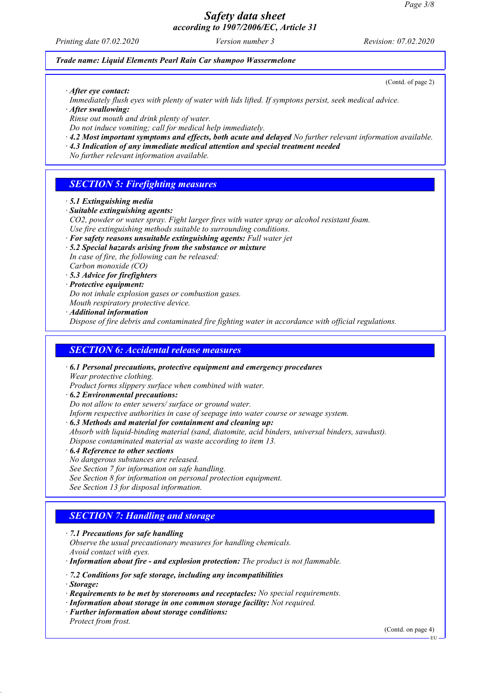*Printing date 07.02.2020 Version number 3 Revision: 07.02.2020*

#### *Trade name: Liquid Elements Pearl Rain Car shampoo Wassermelone*

(Contd. of page 2)

*· After eye contact:*

*Immediately flush eyes with plenty of water with lids lifted. If symptons persist, seek medical advice.*

*· After swallowing:*

*Rinse out mouth and drink plenty of water.*

- *Do not induce vomiting; call for medical help immediately. · 4.2 Most important symptoms and effects, both acute and delayed No further relevant information available.*
- *· 4.3 Indication of any immediate medical attention and special treatment needed*

*No further relevant information available.*

### *SECTION 5: Firefighting measures*

- *· 5.1 Extinguishing media*
- *· Suitable extinguishing agents:*
- *CO2, powder or water spray. Fight larger fires with water spray or alcohol resistant foam. Use fire extinguishing methods suitable to surrounding conditions.*
- *· For safety reasons unsuitable extinguishing agents: Full water jet*
- *· 5.2 Special hazards arising from the substance or mixture In case of fire, the following can be released: Carbon monoxide (CO)*
- *· 5.3 Advice for firefighters*
- *· Protective equipment:*

*Do not inhale explosion gases or combustion gases.*

*Mouth respiratory protective device.*

*· Additional information*

*Dispose of fire debris and contaminated fire fighting water in accordance with official regulations.*

### *SECTION 6: Accidental release measures*

*· 6.1 Personal precautions, protective equipment and emergency procedures Wear protective clothing.*

*Product forms slippery surface when combined with water.*

- *· 6.2 Environmental precautions:*
- *Do not allow to enter sewers/ surface or ground water.*

*Inform respective authorities in case of seepage into water course or sewage system.*

- *· 6.3 Methods and material for containment and cleaning up:*
- *Absorb with liquid-binding material (sand, diatomite, acid binders, universal binders, sawdust). Dispose contaminated material as waste according to item 13.*
- *· 6.4 Reference to other sections*
- *No dangerous substances are released.*

*See Section 7 for information on safe handling.*

- *See Section 8 for information on personal protection equipment.*
- *See Section 13 for disposal information.*

## *SECTION 7: Handling and storage*

- *· 7.1 Precautions for safe handling*
- *Observe the usual precautionary measures for handling chemicals.*

*Avoid contact with eyes.*

*· Information about fire - and explosion protection: The product is not flammable.*

*· 7.2 Conditions for safe storage, including any incompatibilities*

*· Storage:*

- *· Requirements to be met by storerooms and receptacles: No special requirements.*
- *· Information about storage in one common storage facility: Not required.*
- *· Further information about storage conditions: Protect from frost.*

(Contd. on page 4)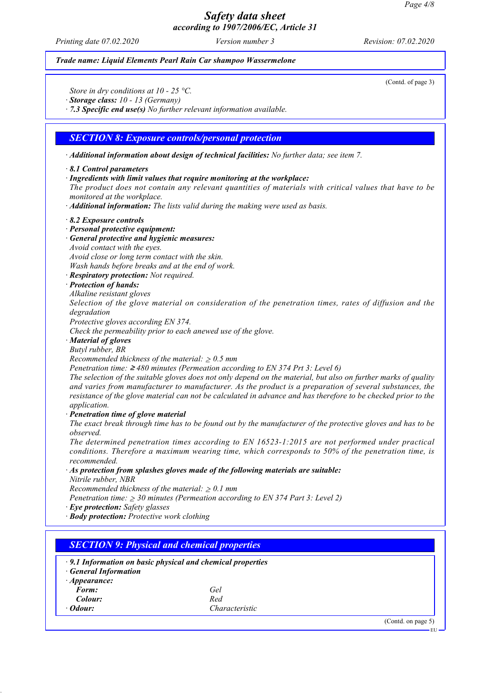*Printing date 07.02.2020 Version number 3 Revision: 07.02.2020*

#### *Trade name: Liquid Elements Pearl Rain Car shampoo Wassermelone*

(Contd. of page 3)

*Store in dry conditions at 10 - 25 °C.*

*· Storage class: 10 - 13 (Germany)*

*· 7.3 Specific end use(s) No further relevant information available.*

#### *SECTION 8: Exposure controls/personal protection*

*· Additional information about design of technical facilities: No further data; see item 7.*

#### *· 8.1 Control parameters*

*· Ingredients with limit values that require monitoring at the workplace:*

*The product does not contain any relevant quantities of materials with critical values that have to be monitored at the workplace.*

*· Additional information: The lists valid during the making were used as basis.*

#### *· 8.2 Exposure controls*

- *· Personal protective equipment:*
- *· General protective and hygienic measures:*
- *Avoid contact with the eyes.*

*Avoid close or long term contact with the skin.*

*Wash hands before breaks and at the end of work.*

- *· Respiratory protection: Not required.*
- *· Protection of hands:*
- *Alkaline resistant gloves*

*Selection of the glove material on consideration of the penetration times, rates of diffusion and the degradation*

*Protective gloves according EN 374.*

*Check the permeability prior to each anewed use of the glove.*

*· Material of gloves*

*Butyl rubber, BR*

*Recommended thickness of the material:* ≥ *0.5 mm*

*Penetration time:* ≥ *480 minutes (Permeation according to EN 374 Prt 3: Level 6)*

*The selection of the suitable gloves does not only depend on the material, but also on further marks of quality and varies from manufacturer to manufacturer. As the product is a preparation of several substances, the resistance of the glove material can not be calculated in advance and has therefore to be checked prior to the application.*

*· Penetration time of glove material*

*The exact break through time has to be found out by the manufacturer of the protective gloves and has to be observed.*

*The determined penetration times according to EN 16523-1:2015 are not performed under practical conditions. Therefore a maximum wearing time, which corresponds to 50% of the penetration time, is recommended.*

*· As protection from splashes gloves made of the following materials are suitable:*

*Nitrile rubber, NBR*

*Recommended thickness of the material:* ≥ *0.1 mm*

*Penetration time:* ≥ *30 minutes (Permeation according to EN 374 Part 3: Level 2)*

- *· Eye protection: Safety glasses*
- *· Body protection: Protective work clothing*

|                            | $\cdot$ 9.1 Information on basic physical and chemical properties |  |
|----------------------------|-------------------------------------------------------------------|--|
| <b>General Information</b> |                                                                   |  |
| $\cdot$ Appearance:        |                                                                   |  |
| Form:                      | Gel                                                               |  |
| Colour:                    | Red                                                               |  |
| $\cdot$ Odour:             | Characteristic                                                    |  |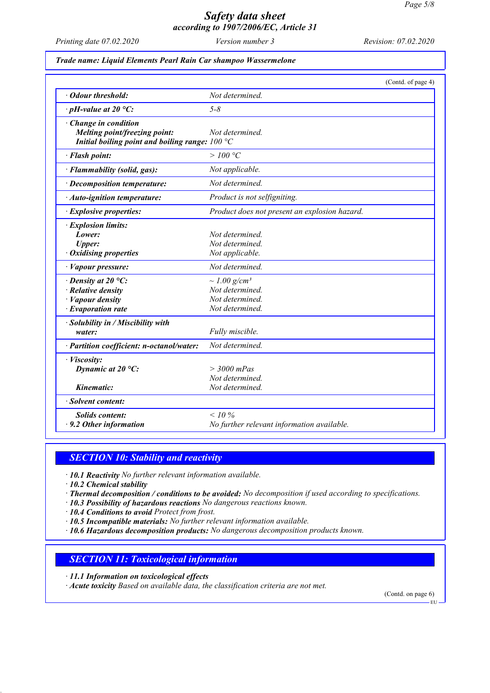*Printing date 07.02.2020 Version number 3 Revision: 07.02.2020*

#### *Trade name: Liquid Elements Pearl Rain Car shampoo Wassermelone*

|                                                                                                                    | (Contd. of page 4)                                                                     |
|--------------------------------------------------------------------------------------------------------------------|----------------------------------------------------------------------------------------|
| · Odour threshold:                                                                                                 | Not determined.                                                                        |
| $\cdot$ pH-value at 20 °C:                                                                                         | $5 - 8$                                                                                |
| · Change in condition<br>Melting point/freezing point:<br>Initial boiling point and boiling range: $100^{\circ}$ C | Not determined.                                                                        |
| · Flash point:                                                                                                     | >100 °C                                                                                |
| · Flammability (solid, gas):                                                                                       | Not applicable.                                                                        |
| · Decomposition temperature:                                                                                       | Not determined.                                                                        |
| · Auto-ignition temperature:                                                                                       | Product is not selfigniting.                                                           |
| · Explosive properties:                                                                                            | Product does not present an explosion hazard.                                          |
| · Explosion limits:<br>Lower:<br><b>Upper:</b><br>· Oxidising properties                                           | Not determined.<br>Not determined.<br>Not applicable.                                  |
| · Vapour pressure:                                                                                                 | Not determined.                                                                        |
| $\cdot$ Density at 20 °C:<br>$\cdot$ Relative density<br>· Vapour density<br>$\cdot$ Evaporation rate              | $\sim$ 1.00 g/cm <sup>3</sup><br>Not determined.<br>Not determined.<br>Not determined. |
| · Solubility in / Miscibility with<br>water:                                                                       | Fully miscible.                                                                        |
| · Partition coefficient: n-octanol/water:                                                                          | Not determined.                                                                        |
| · Viscosity:<br>Dynamic at $20^{\circ}$ C:                                                                         | $>$ 3000 mPas<br>Not determined.                                                       |
| Kinematic:                                                                                                         | Not determined.                                                                        |
| · Solvent content:                                                                                                 |                                                                                        |
| <b>Solids content:</b><br>$\cdot$ 9.2 Other information                                                            | $< 10\%$<br>No further relevant information available.                                 |

### *SECTION 10: Stability and reactivity*

- *· 10.1 Reactivity No further relevant information available.*
- *· 10.2 Chemical stability*
- *· Thermal decomposition / conditions to be avoided: No decomposition if used according to specifications.*
- *· 10.3 Possibility of hazardous reactions No dangerous reactions known.*
- *· 10.4 Conditions to avoid Protect from frost.*
- *· 10.5 Incompatible materials: No further relevant information available.*
- *· 10.6 Hazardous decomposition products: No dangerous decomposition products known.*

### *SECTION 11: Toxicological information*

- *· 11.1 Information on toxicological effects*
- *· Acute toxicity Based on available data, the classification criteria are not met.*

(Contd. on page 6)

EU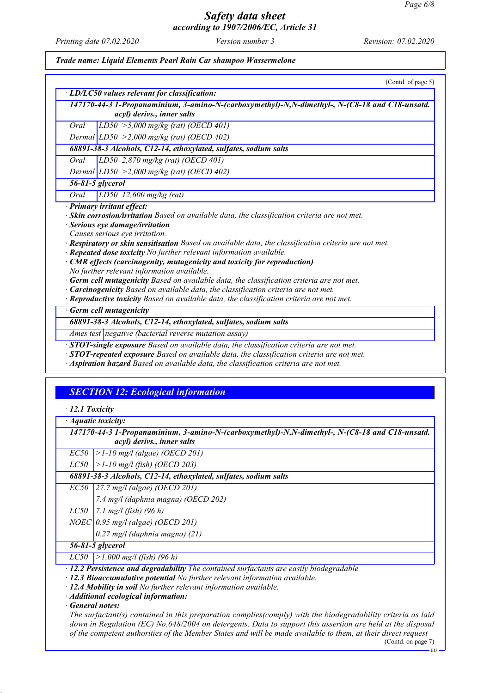*Printing date 07.02.2020 Version number 3 Revision: 07.02.2020*

*Trade name: Liquid Elements Pearl Rain Car shampoo Wassermelone*

|      | (Contd. of page 5)                                                                                                                                                                                                                                                                                                                                                                                                                                                                                                                                                                                                                                                   |
|------|----------------------------------------------------------------------------------------------------------------------------------------------------------------------------------------------------------------------------------------------------------------------------------------------------------------------------------------------------------------------------------------------------------------------------------------------------------------------------------------------------------------------------------------------------------------------------------------------------------------------------------------------------------------------|
|      | · LD/LC50 values relevant for classification:                                                                                                                                                                                                                                                                                                                                                                                                                                                                                                                                                                                                                        |
|      | 147170-44-3 1-Propanaminium, 3-amino-N-(carboxymethyl)-N,N-dimethyl-, N-(C8-18 and C18-unsatd.                                                                                                                                                                                                                                                                                                                                                                                                                                                                                                                                                                       |
|      | acyl) derivs., inner salts                                                                                                                                                                                                                                                                                                                                                                                                                                                                                                                                                                                                                                           |
| Oral | $ LDS0  > 5,000$ mg/kg (rat) (OECD 401)                                                                                                                                                                                                                                                                                                                                                                                                                                                                                                                                                                                                                              |
|      | Dermal $ LD50  > 2,000$ mg/kg (rat) (OECD 402)                                                                                                                                                                                                                                                                                                                                                                                                                                                                                                                                                                                                                       |
|      | 68891-38-3 Alcohols, C12-14, ethoxylated, sulfates, sodium salts                                                                                                                                                                                                                                                                                                                                                                                                                                                                                                                                                                                                     |
| Oral | $LD50$ 2,870 mg/kg (rat) (OECD 401)                                                                                                                                                                                                                                                                                                                                                                                                                                                                                                                                                                                                                                  |
|      | Dermal $ LD50  > 2,000$ mg/kg (rat) (OECD 402)                                                                                                                                                                                                                                                                                                                                                                                                                                                                                                                                                                                                                       |
|      | 56-81-5 glycerol                                                                                                                                                                                                                                                                                                                                                                                                                                                                                                                                                                                                                                                     |
| Oral | $LD50$ 12,600 mg/kg (rat)                                                                                                                                                                                                                                                                                                                                                                                                                                                                                                                                                                                                                                            |
|      | · Serious eye damage/irritation<br>Causes serious eye irritation.<br>· Respiratory or skin sensitisation Based on available data, the classification criteria are not met.<br>· Repeated dose toxicity No further relevant information available.<br>$\cdot$ CMR effects (carcinogenity, mutagenicity and toxicity for reproduction)<br>No further relevant information available.<br>· Germ cell mutagenicity Based on available data, the classification criteria are not met.<br>· Carcinogenicity Based on available data, the classification criteria are not met.<br>· Reproductive toxicity Based on available data, the classification criteria are not met. |
|      | Germ cell mutagenicity                                                                                                                                                                                                                                                                                                                                                                                                                                                                                                                                                                                                                                               |
|      | 68891-38-3 Alcohols, C12-14, ethoxylated, sulfates, sodium salts                                                                                                                                                                                                                                                                                                                                                                                                                                                                                                                                                                                                     |
|      | Ames test negative (bacterial reverse mutation assay)                                                                                                                                                                                                                                                                                                                                                                                                                                                                                                                                                                                                                |
|      | <b>STOT-single exposure</b> Based on available data, the classification criteria are not met.<br>· STOT-repeated exposure Based on available data, the classification criteria are not met.<br>· Aspiration hazard Based on available data, the classification criteria are not met.                                                                                                                                                                                                                                                                                                                                                                                 |

### *SECTION 12: Ecological information*

|  | $\cdot$ 12.1 Toxicity |
|--|-----------------------|
|--|-----------------------|

*· Aquatic toxicity:*

*147170-44-3 1-Propanaminium, 3-amino-N-(carboxymethyl)-N,N-dimethyl-, N-(C8-18 and C18-unsatd. acyl) derivs., inner salts*

*EC50 >1-10 mg/l (algae) (OECD 201)*

*LC50 >1-10 mg/l (fish) (OECD 203)*

*68891-38-3 Alcohols, C12-14, ethoxylated, sulfates, sodium salts*

*EC50 27.7 mg/l (algae) (OECD 201)*

*7.4 mg/l (daphnia magna) (OECD 202)*

*LC50 7.1 mg/l (fish) (96 h)*

*NOEC 0.95 mg/l (algae) (OECD 201)*

*0.27 mg/l (daphnia magna) (21)*

*56-81-5 glycerol*

*LC50 >1,000 mg/l (fish) (96 h)*

*· 12.2 Persistence and degradability The contained surfactants are easily biodegradable*

*· 12.3 Bioaccumulative potential No further relevant information available.*

*· 12.4 Mobility in soil No further relevant information available.*

*· Additional ecological information:*

*· General notes:*

*The surfactant(s) contained in this preparation complies(comply) with the biodegradability criteria as laid down in Regulation (EC) No.648/2004 on detergents. Data to support this assertion are held at the disposal of the competent authorities of the Member States and will be made available to them, at their direct request*

(Contd. on page 7)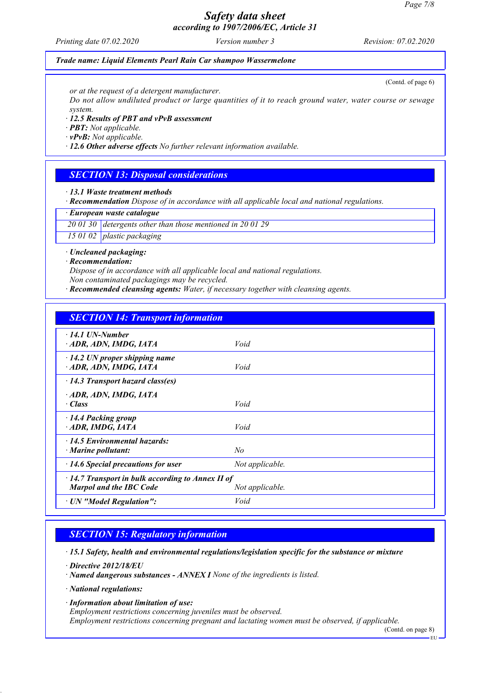*Printing date 07.02.2020 Version number 3 Revision: 07.02.2020*

### *Trade name: Liquid Elements Pearl Rain Car shampoo Wassermelone*

(Contd. of page 6)

*or at the request of a detergent manufacturer.*

*Do not allow undiluted product or large quantities of it to reach ground water, water course or sewage system.*

*· 12.5 Results of PBT and vPvB assessment*

*· PBT: Not applicable.*

*· vPvB: Not applicable.*

*· 12.6 Other adverse effects No further relevant information available.*

### *SECTION 13: Disposal considerations*

*· 13.1 Waste treatment methods*

*· Recommendation Dispose of in accordance with all applicable local and national regulations.*

*· European waste catalogue*

*20 01 30 detergents other than those mentioned in 20 01 29*

*15 01 02 plastic packaging*

*· Uncleaned packaging:*

*· Recommendation:*

*Dispose of in accordance with all applicable local and national regulations. Non contaminated packagings may be recycled.*

*· Recommended cleansing agents: Water, if necessary together with cleansing agents.*

### *SECTION 14: Transport information*

| $\cdot$ 14.1 UN-Number                                               |  |
|----------------------------------------------------------------------|--|
| ADR, ADN, IMDG, IATA<br>Void                                         |  |
| $\cdot$ 14.2 UN proper shipping name<br>ADR, ADN, IMDG, IATA<br>Void |  |
| $\cdot$ 14.3 Transport hazard class(es)                              |  |
| ADR, ADN, IMDG, IATA                                                 |  |
| Void<br>$\cdot$ Class                                                |  |
| $\cdot$ 14.4 Packing group                                           |  |
| ADR, IMDG, IATA<br>Void                                              |  |
| $\cdot$ 14.5 Environmental hazards:                                  |  |
| No<br>· Marine pollutant:                                            |  |
| Not applicable.<br>$\cdot$ 14.6 Special precautions for user         |  |
| $\cdot$ 14.7 Transport in bulk according to Annex II of              |  |
| <b>Marpol and the IBC Code</b><br>Not applicable.                    |  |
| Void<br>· UN "Model Regulation":                                     |  |

### *SECTION 15: Regulatory information*

*· 15.1 Safety, health and environmental regulations/legislation specific for the substance or mixture*

*· Directive 2012/18/EU*

*· Named dangerous substances - ANNEX I None of the ingredients is listed.*

*· National regulations:*

*· Information about limitation of use:*

*Employment restrictions concerning juveniles must be observed.*

*Employment restrictions concerning pregnant and lactating women must be observed, if applicable.*

(Contd. on page 8)

EU